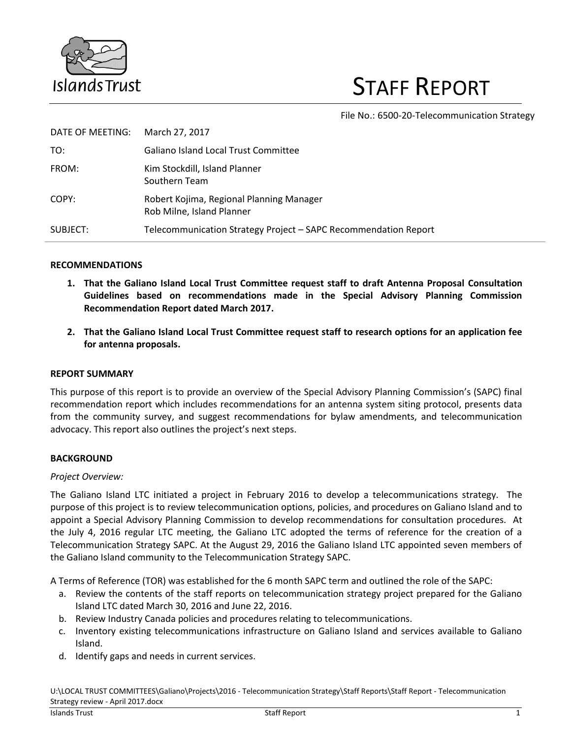

# STAFF REPORT

File No.: 6500-20-Telecommunication Strategy

| DATE OF MEETING: | March 27, 2017                                                        |
|------------------|-----------------------------------------------------------------------|
| TO:              | <b>Galiano Island Local Trust Committee</b>                           |
| FROM:            | Kim Stockdill, Island Planner<br>Southern Team                        |
| COPY:            | Robert Kojima, Regional Planning Manager<br>Rob Milne, Island Planner |
| SUBJECT:         | Telecommunication Strategy Project - SAPC Recommendation Report       |

### **RECOMMENDATIONS**

- **1. That the Galiano Island Local Trust Committee request staff to draft Antenna Proposal Consultation Guidelines based on recommendations made in the Special Advisory Planning Commission Recommendation Report dated March 2017.**
- **2. That the Galiano Island Local Trust Committee request staff to research options for an application fee for antenna proposals.**

## **REPORT SUMMARY**

This purpose of this report is to provide an overview of the Special Advisory Planning Commission's (SAPC) final recommendation report which includes recommendations for an antenna system siting protocol, presents data from the community survey, and suggest recommendations for bylaw amendments, and telecommunication advocacy. This report also outlines the project's next steps.

### **BACKGROUND**

### *Project Overview:*

The Galiano Island LTC initiated a project in February 2016 to develop a telecommunications strategy. The purpose of this project is to review telecommunication options, policies, and procedures on Galiano Island and to appoint a Special Advisory Planning Commission to develop recommendations for consultation procedures. At the July 4, 2016 regular LTC meeting, the Galiano LTC adopted the terms of reference for the creation of a Telecommunication Strategy SAPC. At the August 29, 2016 the Galiano Island LTC appointed seven members of the Galiano Island community to the Telecommunication Strategy SAPC.

A Terms of Reference (TOR) was established for the 6 month SAPC term and outlined the role of the SAPC:

- a. Review the contents of the staff reports on telecommunication strategy project prepared for the Galiano Island LTC dated March 30, 2016 and June 22, 2016.
- b. Review Industry Canada policies and procedures relating to telecommunications.
- c. Inventory existing telecommunications infrastructure on Galiano Island and services available to Galiano Island.
- d. Identify gaps and needs in current services.

U:\LOCAL TRUST COMMITTEES\Galiano\Projects\2016 - Telecommunication Strategy\Staff Reports\Staff Report - Telecommunication Strategy review - April 2017.docx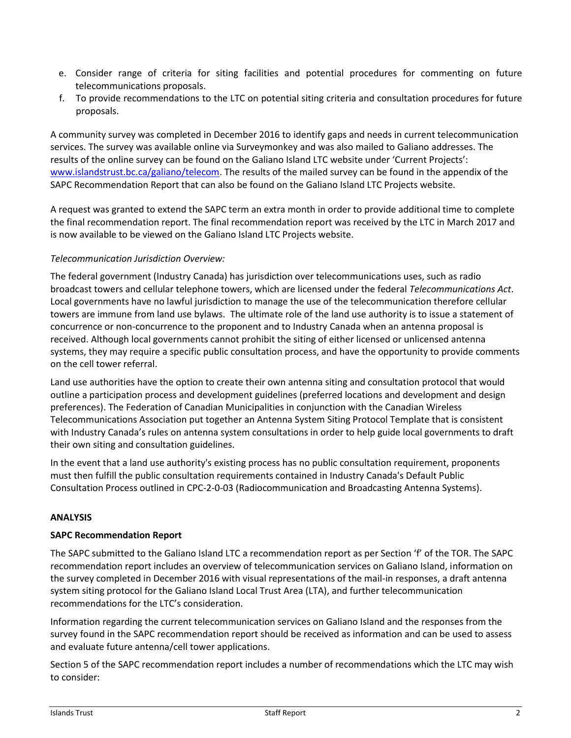- e. Consider range of criteria for siting facilities and potential procedures for commenting on future telecommunications proposals.
- f. To provide recommendations to the LTC on potential siting criteria and consultation procedures for future proposals.

A community survey was completed in December 2016 to identify gaps and needs in current telecommunication services. The survey was available online via Surveymonkey and was also mailed to Galiano addresses. The results of the online survey can be found on the Galiano Island LTC website under 'Current Projects': [www.islandstrust.bc.ca/galiano/telecom.](http://www.islandstrust.bc.ca/galiano/telecom) The results of the mailed survey can be found in the appendix of the SAPC Recommendation Report that can also be found on the Galiano Island LTC Projects website.

A request was granted to extend the SAPC term an extra month in order to provide additional time to complete the final recommendation report. The final recommendation report was received by the LTC in March 2017 and is now available to be viewed on the Galiano Island LTC Projects website.

# *Telecommunication Jurisdiction Overview:*

The federal government (Industry Canada) has jurisdiction over telecommunications uses, such as radio broadcast towers and cellular telephone towers, which are licensed under the federal *Telecommunications Act*. Local governments have no lawful jurisdiction to manage the use of the telecommunication therefore cellular towers are immune from land use bylaws. The ultimate role of the land use authority is to issue a statement of concurrence or non-concurrence to the proponent and to Industry Canada when an antenna proposal is received. Although local governments cannot prohibit the siting of either licensed or unlicensed antenna systems, they may require a specific public consultation process, and have the opportunity to provide comments on the cell tower referral.

Land use authorities have the option to create their own antenna siting and consultation protocol that would outline a participation process and development guidelines (preferred locations and development and design preferences). The Federation of Canadian Municipalities in conjunction with the Canadian Wireless Telecommunications Association put together an Antenna System Siting Protocol Template that is consistent with Industry Canada's rules on antenna system consultations in order to help guide local governments to draft their own siting and consultation guidelines.

In the event that a land use authority's existing process has no public consultation requirement, proponents must then fulfill the public consultation requirements contained in Industry Canada's Default Public Consultation Process outlined in CPC-2-0-03 (Radiocommunication and Broadcasting Antenna Systems).

## **ANALYSIS**

## **SAPC Recommendation Report**

The SAPC submitted to the Galiano Island LTC a recommendation report as per Section 'f' of the TOR. The SAPC recommendation report includes an overview of telecommunication services on Galiano Island, information on the survey completed in December 2016 with visual representations of the mail-in responses, a draft antenna system siting protocol for the Galiano Island Local Trust Area (LTA), and further telecommunication recommendations for the LTC's consideration.

Information regarding the current telecommunication services on Galiano Island and the responses from the survey found in the SAPC recommendation report should be received as information and can be used to assess and evaluate future antenna/cell tower applications.

Section 5 of the SAPC recommendation report includes a number of recommendations which the LTC may wish to consider: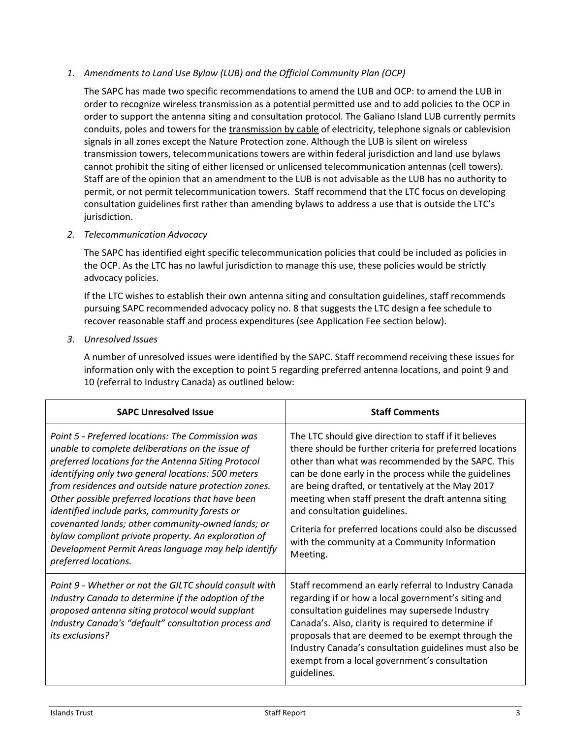# *1. Amendments to Land Use Bylaw (LUB) and the Official Community Plan (OCP)*

The SAPC has made two specific recommendations to amend the LUB and OCP: to amend the LUB in order to recognize wireless transmission as a potential permitted use and to add policies to the OCP in order to support the antenna siting and consultation protocol. The Galiano Island LUB currently permits conduits, poles and towers for the transmission by cable of electricity, telephone signals or cablevision signals in all zones except the Nature Protection zone. Although the LUB is silent on wireless transmission towers, telecommunications towers are within federal jurisdiction and land use bylaws cannot prohibit the siting of either licensed or unlicensed telecommunication antennas (cell towers). Staff are of the opinion that an amendment to the LUB is not advisable as the LUB has no authority to permit, or not permit telecommunication towers. Staff recommend that the LTC focus on developing consultation guidelines first rather than amending bylaws to address a use that is outside the LTC's jurisdiction.

# *2. Telecommunication Advocacy*

The SAPC has identified eight specific telecommunication policies that could be included as policies in the OCP. As the LTC has no lawful jurisdiction to manage this use, these policies would be strictly advocacy policies.

If the LTC wishes to establish their own antenna siting and consultation guidelines, staff recommends pursuing SAPC recommended advocacy policy no. 8 that suggests the LTC design a fee schedule to recover reasonable staff and process expenditures (see Application Fee section below).

*3. Unresolved Issues*

A number of unresolved issues were identified by the SAPC. Staff recommend receiving these issues for information only with the exception to point 5 regarding preferred antenna locations, and point 9 and 10 (referral to Industry Canada) as outlined below:

| <b>SAPC Unresolved Issue</b>                                                                                                                                                                                                                                                                                                                                                                                                                                                                                                                                                 | <b>Staff Comments</b>                                                                                                                                                                                                                                                                                                                                                                                                                                                                                |  |
|------------------------------------------------------------------------------------------------------------------------------------------------------------------------------------------------------------------------------------------------------------------------------------------------------------------------------------------------------------------------------------------------------------------------------------------------------------------------------------------------------------------------------------------------------------------------------|------------------------------------------------------------------------------------------------------------------------------------------------------------------------------------------------------------------------------------------------------------------------------------------------------------------------------------------------------------------------------------------------------------------------------------------------------------------------------------------------------|--|
| Point 5 - Preferred locations: The Commission was<br>unable to complete deliberations on the issue of<br>preferred locations for the Antenna Siting Protocol<br>identifying only two general locations: 500 meters<br>from residences and outside nature protection zones.<br>Other possible preferred locations that have been<br>identified include parks, community forests or<br>covenanted lands; other community-owned lands; or<br>bylaw compliant private property. An exploration of<br>Development Permit Areas language may help identify<br>preferred locations. | The LTC should give direction to staff if it believes<br>there should be further criteria for preferred locations<br>other than what was recommended by the SAPC. This<br>can be done early in the process while the guidelines<br>are being drafted, or tentatively at the May 2017<br>meeting when staff present the draft antenna siting<br>and consultation guidelines.<br>Criteria for preferred locations could also be discussed<br>with the community at a Community Information<br>Meeting. |  |
| Point 9 - Whether or not the GILTC should consult with<br>Industry Canada to determine if the adoption of the<br>proposed antenna siting protocol would supplant<br>Industry Canada's "default" consultation process and<br>its exclusions?                                                                                                                                                                                                                                                                                                                                  | Staff recommend an early referral to Industry Canada<br>regarding if or how a local government's siting and<br>consultation guidelines may supersede Industry<br>Canada's. Also, clarity is required to determine if<br>proposals that are deemed to be exempt through the<br>Industry Canada's consultation guidelines must also be<br>exempt from a local government's consultation<br>guidelines.                                                                                                 |  |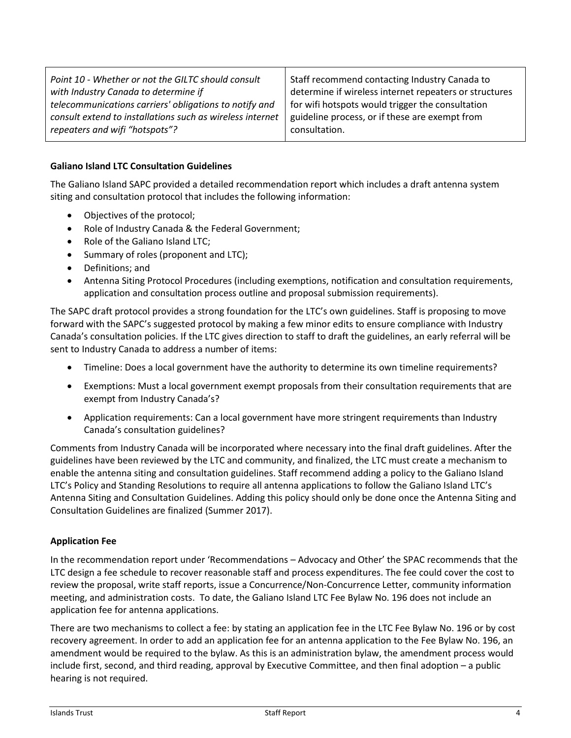| Point 10 - Whether or not the GILTC should consult<br>with Industry Canada to determine if | Staff recommend contacting Industry Canada to<br>determine if wireless internet repeaters or structures |  |
|--------------------------------------------------------------------------------------------|---------------------------------------------------------------------------------------------------------|--|
| telecommunications carriers' obligations to notify and                                     | for wifi hotspots would trigger the consultation                                                        |  |
| consult extend to installations such as wireless internet                                  | guideline process, or if these are exempt from                                                          |  |
| repeaters and wifi "hotspots"?                                                             | consultation.                                                                                           |  |

# **Galiano Island LTC Consultation Guidelines**

The Galiano Island SAPC provided a detailed recommendation report which includes a draft antenna system siting and consultation protocol that includes the following information:

- Objectives of the protocol;
- Role of Industry Canada & the Federal Government;
- Role of the Galiano Island LTC;
- Summary of roles (proponent and LTC);
- Definitions; and
- Antenna Siting Protocol Procedures (including exemptions, notification and consultation requirements, application and consultation process outline and proposal submission requirements).

The SAPC draft protocol provides a strong foundation for the LTC's own guidelines. Staff is proposing to move forward with the SAPC's suggested protocol by making a few minor edits to ensure compliance with Industry Canada's consultation policies. If the LTC gives direction to staff to draft the guidelines, an early referral will be sent to Industry Canada to address a number of items:

- Timeline: Does a local government have the authority to determine its own timeline requirements?
- Exemptions: Must a local government exempt proposals from their consultation requirements that are exempt from Industry Canada's?
- Application requirements: Can a local government have more stringent requirements than Industry Canada's consultation guidelines?

Comments from Industry Canada will be incorporated where necessary into the final draft guidelines. After the guidelines have been reviewed by the LTC and community, and finalized, the LTC must create a mechanism to enable the antenna siting and consultation guidelines. Staff recommend adding a policy to the Galiano Island LTC's Policy and Standing Resolutions to require all antenna applications to follow the Galiano Island LTC's Antenna Siting and Consultation Guidelines. Adding this policy should only be done once the Antenna Siting and Consultation Guidelines are finalized (Summer 2017).

## **Application Fee**

In the recommendation report under 'Recommendations – Advocacy and Other' the SPAC recommends that the LTC design a fee schedule to recover reasonable staff and process expenditures. The fee could cover the cost to review the proposal, write staff reports, issue a Concurrence/Non-Concurrence Letter, community information meeting, and administration costs. To date, the Galiano Island LTC Fee Bylaw No. 196 does not include an application fee for antenna applications.

There are two mechanisms to collect a fee: by stating an application fee in the LTC Fee Bylaw No. 196 or by cost recovery agreement. In order to add an application fee for an antenna application to the Fee Bylaw No. 196, an amendment would be required to the bylaw. As this is an administration bylaw, the amendment process would include first, second, and third reading, approval by Executive Committee, and then final adoption – a public hearing is not required.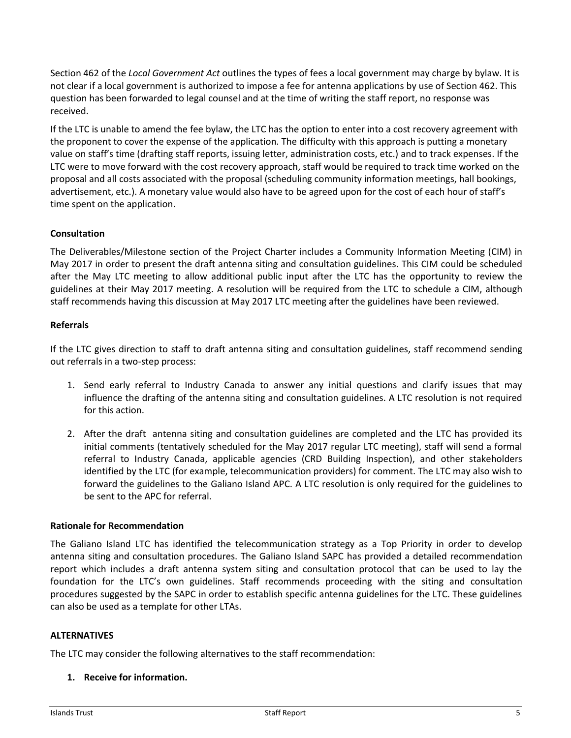Section 462 of the *Local Government Act* outlines the types of fees a local government may charge by bylaw. It is not clear if a local government is authorized to impose a fee for antenna applications by use of Section 462. This question has been forwarded to legal counsel and at the time of writing the staff report, no response was received.

If the LTC is unable to amend the fee bylaw, the LTC has the option to enter into a cost recovery agreement with the proponent to cover the expense of the application. The difficulty with this approach is putting a monetary value on staff's time (drafting staff reports, issuing letter, administration costs, etc.) and to track expenses. If the LTC were to move forward with the cost recovery approach, staff would be required to track time worked on the proposal and all costs associated with the proposal (scheduling community information meetings, hall bookings, advertisement, etc.). A monetary value would also have to be agreed upon for the cost of each hour of staff's time spent on the application.

# **Consultation**

The Deliverables/Milestone section of the Project Charter includes a Community Information Meeting (CIM) in May 2017 in order to present the draft antenna siting and consultation guidelines. This CIM could be scheduled after the May LTC meeting to allow additional public input after the LTC has the opportunity to review the guidelines at their May 2017 meeting. A resolution will be required from the LTC to schedule a CIM, although staff recommends having this discussion at May 2017 LTC meeting after the guidelines have been reviewed.

## **Referrals**

If the LTC gives direction to staff to draft antenna siting and consultation guidelines, staff recommend sending out referrals in a two-step process:

- 1. Send early referral to Industry Canada to answer any initial questions and clarify issues that may influence the drafting of the antenna siting and consultation guidelines. A LTC resolution is not required for this action.
- 2. After the draft antenna siting and consultation guidelines are completed and the LTC has provided its initial comments (tentatively scheduled for the May 2017 regular LTC meeting), staff will send a formal referral to Industry Canada, applicable agencies (CRD Building Inspection), and other stakeholders identified by the LTC (for example, telecommunication providers) for comment. The LTC may also wish to forward the guidelines to the Galiano Island APC. A LTC resolution is only required for the guidelines to be sent to the APC for referral.

### **Rationale for Recommendation**

The Galiano Island LTC has identified the telecommunication strategy as a Top Priority in order to develop antenna siting and consultation procedures. The Galiano Island SAPC has provided a detailed recommendation report which includes a draft antenna system siting and consultation protocol that can be used to lay the foundation for the LTC's own guidelines. Staff recommends proceeding with the siting and consultation procedures suggested by the SAPC in order to establish specific antenna guidelines for the LTC. These guidelines can also be used as a template for other LTAs.

### **ALTERNATIVES**

The LTC may consider the following alternatives to the staff recommendation:

### **1. Receive for information.**